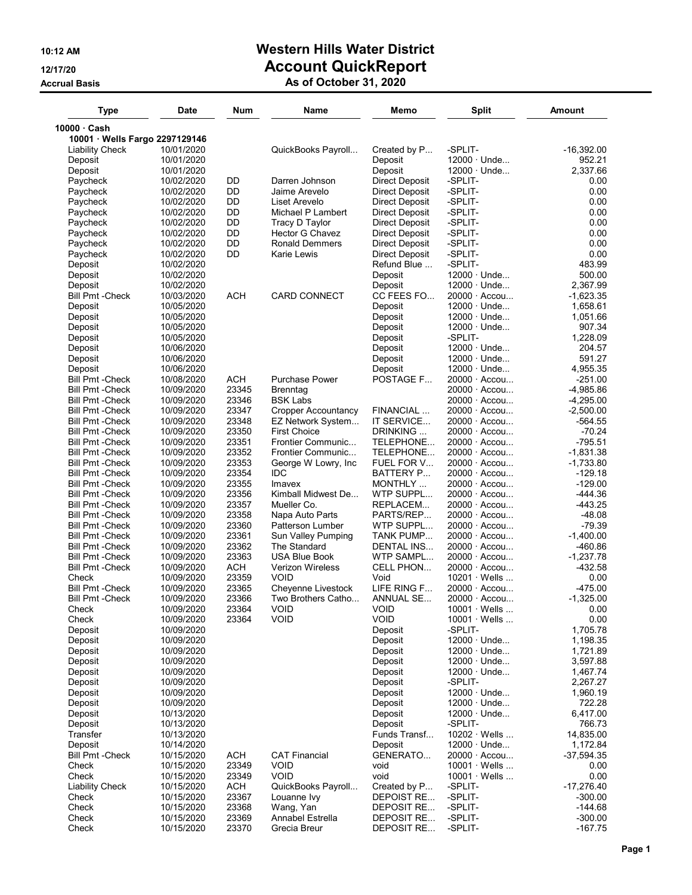## 10:12 AM Western Hills Water District 12/17/20 **Account QuickReport**

#### Accrual Basis **As of October 31, 2020**

| Type                              | <b>Date</b>              | Num        | <b>Name</b>                | Memo                          | <b>Split</b>         | <b>Amount</b>  |
|-----------------------------------|--------------------------|------------|----------------------------|-------------------------------|----------------------|----------------|
| 10000 Cash                        |                          |            |                            |                               |                      |                |
| 10001 · Wells Fargo 2297129146    |                          |            |                            |                               |                      |                |
| Liability Check                   | 10/01/2020               |            | QuickBooks Payroll         | Created by P                  | -SPLIT-              | -16,392.00     |
| Deposit                           | 10/01/2020               |            |                            | Deposit                       | $12000 \cdot$ Unde   | 952.21         |
| Deposit                           | 10/01/2020               |            |                            | Deposit                       | $12000 \cdot$ Unde   | 2,337.66       |
| Paycheck                          | 10/02/2020               | DD         | Darren Johnson             | <b>Direct Deposit</b>         | -SPLIT-              | 0.00           |
| Paycheck                          | 10/02/2020               | DD         | Jaime Arevelo              | <b>Direct Deposit</b>         | -SPLIT-              | 0.00           |
| Paycheck                          | 10/02/2020               | DD         | Liset Arevelo              | Direct Deposit                | -SPLIT-              | 0.00           |
| Paycheck                          | 10/02/2020               | DD         | Michael P Lambert          | Direct Deposit                | -SPLIT-              | 0.00           |
| Paycheck                          | 10/02/2020               | DD         | Tracy D Taylor             | Direct Deposit                | -SPLIT-              | 0.00           |
| Paycheck                          | 10/02/2020               | DD         | Hector G Chavez            | Direct Deposit                | -SPLIT-              | 0.00           |
| Paycheck                          | 10/02/2020               | DD<br>DD   | <b>Ronald Demmers</b>      | Direct Deposit                | -SPLIT-              | 0.00           |
| Paycheck                          | 10/02/2020<br>10/02/2020 |            | Karie Lewis                | Direct Deposit<br>Refund Blue | -SPLIT-<br>-SPLIT-   | 0.00<br>483.99 |
| Deposit<br>Deposit                | 10/02/2020               |            |                            | Deposit                       | $12000 \cdot$ Unde   | 500.00         |
| Deposit                           | 10/02/2020               |            |                            | Deposit                       | $12000 \cdot$ Unde   | 2,367.99       |
| Bill Pmt -Check                   | 10/03/2020               | <b>ACH</b> | <b>CARD CONNECT</b>        | CC FEES FO                    | $20000 \cdot$ Accou  | $-1,623.35$    |
| Deposit                           | 10/05/2020               |            |                            | Deposit                       | $12000 \cdot$ Unde   | 1,658.61       |
|                                   | 10/05/2020               |            |                            |                               | $12000 \cdot$ Unde   | 1,051.66       |
| Deposit<br>Deposit                | 10/05/2020               |            |                            | Deposit<br>Deposit            | $12000 \cdot$ Unde   | 907.34         |
| Deposit                           | 10/05/2020               |            |                            | Deposit                       | -SPLIT-              | 1,228.09       |
|                                   | 10/06/2020               |            |                            |                               | $12000 \cdot$ Unde   | 204.57         |
| Deposit                           | 10/06/2020               |            |                            | Deposit<br>Deposit            | $12000 \cdot$ Unde   | 591.27         |
| Deposit                           | 10/06/2020               |            |                            |                               | $12000 \cdot$ Unde   | 4,955.35       |
| Deposit<br><b>Bill Pmt -Check</b> | 10/08/2020               | ACH        | <b>Purchase Power</b>      | Deposit<br>POSTAGE F          | 20000 · Accou        | $-251.00$      |
| <b>Bill Pmt - Check</b>           | 10/09/2020               | 23345      | <b>Brenntag</b>            |                               | $20000 \cdot$ Accou  | $-4,985.86$    |
| <b>Bill Pmt - Check</b>           | 10/09/2020               | 23346      | <b>BSK Labs</b>            |                               | 20000 · Accou        | $-4,295.00$    |
| Bill Pmt -Check                   | 10/09/2020               | 23347      | <b>Cropper Accountancy</b> | FINANCIAL                     | 20000 · Accou        | $-2,500.00$    |
| <b>Bill Pmt - Check</b>           | 10/09/2020               | 23348      | EZ Network System          | IT SERVICE                    | $20000 \cdot$ Accou  | -564.55        |
| Bill Pmt -Check                   | 10/09/2020               | 23350      | <b>First Choice</b>        | DRINKING                      | $20000 \cdot$ Accou  | -70.24         |
| <b>Bill Pmt -Check</b>            | 10/09/2020               | 23351      | Frontier Communic          | TELEPHONE                     | $20000 \cdot$ Accou  | $-795.51$      |
| Bill Pmt -Check                   | 10/09/2020               | 23352      | Frontier Communic          | TELEPHONE                     | $20000 \cdot$ Accou  | $-1,831.38$    |
| Bill Pmt -Check                   | 10/09/2020               | 23353      | George W Lowry, Inc        | FUEL FOR V                    | 20000 · Accou        | $-1,733.80$    |
| Bill Pmt -Check                   | 10/09/2020               | 23354      | IDC                        | <b>BATTERY P</b>              | $20000 \cdot$ Accou  | $-129.18$      |
| Bill Pmt -Check                   | 10/09/2020               | 23355      | Imavex                     | MONTHLY                       | $20000 \cdot$ Accou  | $-129.00$      |
| Bill Pmt -Check                   | 10/09/2020               | 23356      | Kimball Midwest De         | WTP SUPPL                     | $20000 \cdot$ Accou  | -444.36        |
| <b>Bill Pmt -Check</b>            | 10/09/2020               | 23357      | Mueller Co.                | REPLACEM                      | $20000 \cdot$ Accou  | -443.25        |
| Bill Pmt -Check                   | 10/09/2020               | 23358      | Napa Auto Parts            | PARTS/REP                     | $20000 \cdot$ Accou  | -48.08         |
| Bill Pmt -Check                   | 10/09/2020               | 23360      | Patterson Lumber           | WTP SUPPL                     | $20000 \cdot$ Accou  | $-79.39$       |
| Bill Pmt -Check                   | 10/09/2020               | 23361      | Sun Valley Pumping         | TANK PUMP                     | 20000 · Accou        | $-1,400.00$    |
| <b>Bill Pmt - Check</b>           | 10/09/2020               | 23362      | The Standard               | DENTAL INS                    | $20000 \cdot$ Accou  | -460.86        |
| Bill Pmt -Check                   | 10/09/2020               | 23363      | USA Blue Book              | WTP SAMPL                     | $20000 \cdot$ Accou  | $-1,237.78$    |
| <b>Bill Pmt - Check</b>           | 10/09/2020               | ACH        | <b>Verizon Wireless</b>    | CELL PHON                     | $20000 \cdot$ Accou  | $-432.58$      |
| Check                             | 10/09/2020               | 23359      | <b>VOID</b>                | Void                          | $10201 \cdot$ Wells  | 0.00           |
| <b>Bill Pmt - Check</b>           | 10/09/2020               | 23365      | Cheyenne Livestock         | LIFE RING F                   | $20000 \cdot$ Accou  | $-475.00$      |
| Bill Pmt -Check                   | 10/09/2020               | 23366      | Two Brothers Catho         | ANNUAL SE                     | $20000 \cdot$ Accou  | $-1,325.00$    |
| Check                             | 10/09/2020               | 23364      | <b>VOID</b>                | <b>VOID</b>                   | $10001 \cdot$ Wells  | 0.00           |
| Check                             | 10/09/2020               | 23364      | <b>VOID</b>                | VOID                          | $10001 \cdot$ Wells  | 0.00           |
| Deposit                           | 10/09/2020               |            |                            | Deposit                       | -SPLIT-              | 1,705.78       |
| Deposit                           | 10/09/2020               |            |                            | Deposit                       | $12000 \cdot$ Unde   | 1,198.35       |
| Deposit                           | 10/09/2020               |            |                            | Deposit                       | $12000 \cdot$ Unde   | 1,721.89       |
| Deposit                           | 10/09/2020               |            |                            | Deposit                       | $12000 \cdot$ Unde   | 3,597.88       |
| Deposit                           | 10/09/2020               |            |                            | Deposit                       | $12000 \cdot$ Unde   | 1,467.74       |
| Deposit                           | 10/09/2020               |            |                            | Deposit                       | -SPLIT-              | 2,267.27       |
| Deposit                           | 10/09/2020               |            |                            | Deposit                       | $12000 \cdot$ Unde   | 1,960.19       |
| Deposit                           | 10/09/2020               |            |                            | Deposit                       | $12000 \cdot$ Unde   | 722.28         |
| Deposit                           | 10/13/2020               |            |                            | Deposit                       | 12000 · Unde         | 6,417.00       |
| Deposit                           | 10/13/2020               |            |                            | Deposit                       | -SPLIT-              | 766.73         |
| Transfer                          | 10/13/2020               |            |                            | Funds Transf                  | $10202 \cdot$ Wells  | 14,835.00      |
| Deposit                           | 10/14/2020               |            |                            | Deposit                       | $12000 \cdot$ Unde   | 1,172.84       |
| <b>Bill Pmt - Check</b>           | 10/15/2020               | <b>ACH</b> | <b>CAT Financial</b>       | GENERATO                      | $20000 \cdot$ Accou  | $-37,594.35$   |
| Check                             | 10/15/2020               | 23349      | <b>VOID</b>                | void                          | $10001 \cdot W$ ells | 0.00           |
| Check                             | 10/15/2020               | 23349      | <b>VOID</b>                | void                          | $10001 \cdot$ Wells  | 0.00           |
| <b>Liability Check</b>            | 10/15/2020               | <b>ACH</b> | QuickBooks Payroll         | Created by P                  | -SPLIT-              | $-17,276.40$   |
| Check                             | 10/15/2020               | 23367      | Louanne Ivy                | DEPOIST RE                    | -SPLIT-              | $-300.00$      |
| Check                             | 10/15/2020               | 23368      | Wang, Yan                  | DEPOSIT RE                    | -SPLIT-              | $-144.68$      |
| Check                             | 10/15/2020               | 23369      | Annabel Estrella           | DEPOSIT RE                    | -SPLIT-              | $-300.00$      |
| Check                             | 10/15/2020               | 23370      | Grecia Breur               | DEPOSIT RE                    | -SPLIT-              | $-167.75$      |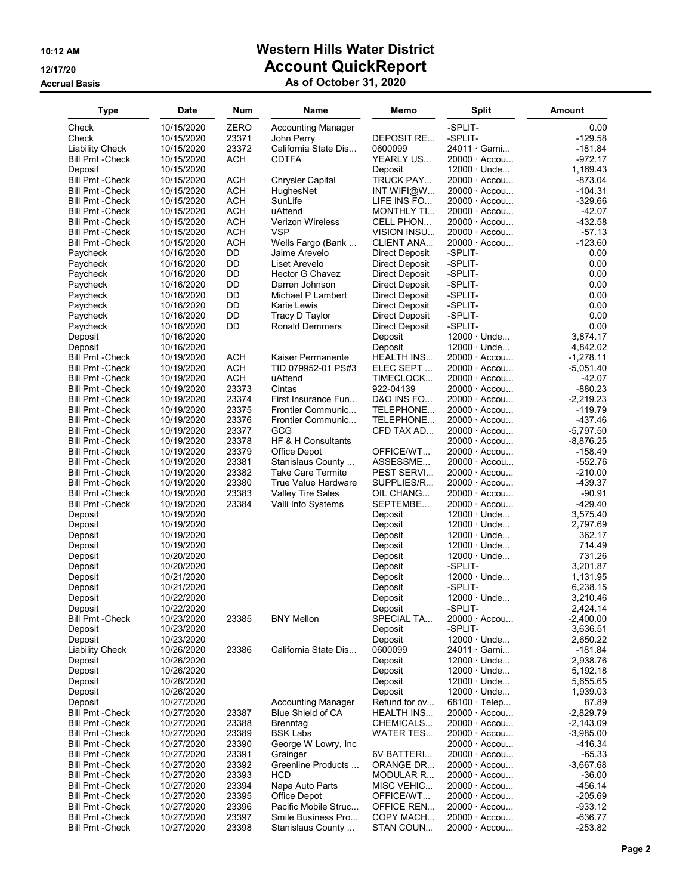# 10:12 AM Western Hills Water District 12/17/20 **Account QuickReport**

### Accrual Basis **As of October 31, 2020**

| <b>Type</b>                                       | <b>Date</b>              | Num             | Name                                            | Memo                                    | <b>Split</b>                             | Amount               |
|---------------------------------------------------|--------------------------|-----------------|-------------------------------------------------|-----------------------------------------|------------------------------------------|----------------------|
| Check                                             | 10/15/2020               | ZERO            | <b>Accounting Manager</b>                       |                                         | -SPLIT-                                  | 0.00                 |
| Check                                             | 10/15/2020               | 23371           | John Perry                                      | DEPOSIT RE                              | -SPLIT-                                  | $-129.58$            |
| <b>Liability Check</b>                            | 10/15/2020               | 23372           | California State Dis                            | 0600099                                 | 24011 · Garni                            | $-181.84$            |
| <b>Bill Pmt - Check</b>                           | 10/15/2020               | ACH             | <b>CDTFA</b>                                    | YEARLY US                               | $20000 \cdot$ Accou                      | -972.17              |
| Deposit                                           | 10/15/2020               |                 |                                                 | Deposit                                 | $12000 \cdot$ Unde                       | 1,169.43             |
| <b>Bill Pmt - Check</b>                           | 10/15/2020               | <b>ACH</b>      | <b>Chrysler Capital</b>                         | TRUCK PAY                               | 20000 · Accou                            | $-873.04$            |
| <b>Bill Pmt - Check</b>                           | 10/15/2020               | <b>ACH</b>      | HughesNet                                       | INT WIFI@W…                             | 20000 · Accou                            | -104.31              |
| <b>Bill Pmt - Check</b>                           | 10/15/2020               | <b>ACH</b>      | SunLife                                         | LIFE INS FO                             | $20000 \cdot$ Accou                      | $-329.66$            |
| <b>Bill Pmt -Check</b>                            | 10/15/2020               | <b>ACH</b>      | uAttend                                         | <b>MONTHLY TI</b>                       | $20000 \cdot$ Accou                      | $-42.07$             |
| <b>Bill Pmt -Check</b>                            | 10/15/2020               | <b>ACH</b>      | <b>Verizon Wireless</b>                         | CELL PHON                               | $20000 \cdot$ Accou                      | $-432.58$            |
| <b>Bill Pmt - Check</b>                           | 10/15/2020               | <b>ACH</b>      | <b>VSP</b>                                      | VISION INSU                             | $20000 \cdot$ Accou                      | $-57.13$             |
| <b>Bill Pmt - Check</b>                           | 10/15/2020               | <b>ACH</b>      | Wells Fargo (Bank                               | <b>CLIENT ANA</b>                       | 20000 · Accou                            | $-123.60$            |
| Paycheck                                          | 10/16/2020<br>10/16/2020 | DD<br><b>DD</b> | Jaime Arevelo<br>Liset Arevelo                  | Direct Deposit                          | -SPLIT-<br>-SPLIT-                       | 0.00<br>0.00         |
| Paycheck<br>Paycheck                              | 10/16/2020               | <b>DD</b>       | Hector G Chavez                                 | Direct Deposit<br><b>Direct Deposit</b> | -SPLIT-                                  | 0.00                 |
| Paycheck                                          | 10/16/2020               | DD              | Darren Johnson                                  | Direct Deposit                          | -SPLIT-                                  | 0.00                 |
| Paycheck                                          | 10/16/2020               | <b>DD</b>       | Michael P Lambert                               | <b>Direct Deposit</b>                   | -SPLIT-                                  | 0.00                 |
| Paycheck                                          | 10/16/2020               | DD              | Karie Lewis                                     | Direct Deposit                          | -SPLIT-                                  | 0.00                 |
| Paycheck                                          | 10/16/2020               | <b>DD</b>       | Tracy D Taylor                                  | Direct Deposit                          | -SPLIT-                                  | 0.00                 |
| Paycheck                                          | 10/16/2020               | <b>DD</b>       | <b>Ronald Demmers</b>                           | Direct Deposit                          | -SPLIT-                                  | 0.00                 |
| Deposit                                           | 10/16/2020               |                 |                                                 | Deposit                                 | $12000 \cdot$ Unde                       | 3.874.17             |
| Deposit                                           | 10/16/2020               |                 |                                                 | Deposit                                 | $12000 \cdot$ Unde                       | 4,842.02             |
| <b>Bill Pmt - Check</b>                           | 10/19/2020               | <b>ACH</b>      | Kaiser Permanente                               | HEALTH INS                              | 20000 · Accou                            | $-1,278.11$          |
| <b>Bill Pmt - Check</b>                           | 10/19/2020               | <b>ACH</b>      | TID 079952-01 PS#3                              | ELEC SEPT                               | 20000 · Accou                            | $-5,051.40$          |
| <b>Bill Pmt -Check</b>                            | 10/19/2020               | <b>ACH</b>      | uAttend                                         | TIMECLOCK                               | $20000 \cdot$ Accou                      | $-42.07$             |
| <b>Bill Pmt -Check</b>                            | 10/19/2020               | 23373           | Cintas                                          | 922-04139                               | $20000 \cdot$ Accou                      | -880.23              |
| <b>Bill Pmt - Check</b>                           | 10/19/2020               | 23374           | First Insurance Fun                             | D&O INS FO                              | 20000 · Accou                            | $-2,219.23$          |
| <b>Bill Pmt - Check</b>                           | 10/19/2020               | 23375           | Frontier Communic                               | TELEPHONE                               | 20000 · Accou                            | $-119.79$            |
| <b>Bill Pmt - Check</b>                           | 10/19/2020               | 23376           | Frontier Communic                               | TELEPHONE                               | $20000 \cdot$ Accou                      | -437.46              |
| <b>Bill Pmt - Check</b>                           | 10/19/2020               | 23377           | GCG                                             | CFD TAX AD                              | $20000 \cdot$ Accou                      | $-5,797.50$          |
| <b>Bill Pmt - Check</b>                           | 10/19/2020               | 23378           | HF & H Consultants                              |                                         | 20000 · Accou                            | -8,876.25            |
| <b>Bill Pmt - Check</b>                           | 10/19/2020               | 23379           | Office Depot                                    | OFFICE/WT                               | 20000 · Accou                            | $-158.49$            |
| <b>Bill Pmt -Check</b>                            | 10/19/2020               | 23381           | Stanislaus County                               | ASSESSME                                | 20000 · Accou                            | -552.76              |
| <b>Bill Pmt - Check</b><br><b>Bill Pmt -Check</b> | 10/19/2020<br>10/19/2020 | 23382<br>23380  | <b>Take Care Termite</b><br>True Value Hardware | PEST SERVI<br>SUPPLIES/R                | 20000 · Accou<br>20000 · Accou           | $-210.00$<br>-439.37 |
| <b>Bill Pmt - Check</b>                           | 10/19/2020               | 23383           | <b>Valley Tire Sales</b>                        | OIL CHANG                               | 20000 · Accou                            | $-90.91$             |
| <b>Bill Pmt - Check</b>                           | 10/19/2020               | 23384           | Valli Info Systems                              | SEPTEMBE                                | 20000 · Accou                            | -429.40              |
| Deposit                                           | 10/19/2020               |                 |                                                 | Deposit                                 | $12000 \cdot$ Unde                       | 3,575.40             |
| Deposit                                           | 10/19/2020               |                 |                                                 | Deposit                                 | $12000 \cdot$ Unde                       | 2,797.69             |
| Deposit                                           | 10/19/2020               |                 |                                                 | Deposit                                 | $12000 \cdot$ Unde                       | 362.17               |
| Deposit                                           | 10/19/2020               |                 |                                                 | Deposit                                 | $12000 \cdot$ Unde                       | 714.49               |
| Deposit                                           | 10/20/2020               |                 |                                                 | Deposit                                 | $12000 \cdot$ Unde                       | 731.26               |
| Deposit                                           | 10/20/2020               |                 |                                                 | Deposit                                 | -SPLIT-                                  | 3,201.87             |
| Deposit                                           | 10/21/2020               |                 |                                                 | Deposit                                 | $12000 \cdot$ Unde                       | 1,131.95             |
| Deposit                                           | 10/21/2020               |                 |                                                 | Deposit                                 | -SPLIT-                                  | 6,238.15             |
| Deposit                                           | 10/22/2020               |                 |                                                 | Deposit                                 | $12000 \cdot$ Unde                       | 3,210.46             |
| Deposit                                           | 10/22/2020               |                 |                                                 | Deposit                                 | -SPLIT-                                  | 2,424.14             |
| <b>Bill Pmt - Check</b>                           | 10/23/2020               | 23385           | <b>BNY Mellon</b>                               | SPECIAL TA                              | 20000 · Accou                            | $-2,400.00$          |
| Deposit                                           | 10/23/2020               |                 |                                                 | Deposit                                 | -SPLIT-                                  | 3,636.51             |
| Deposit                                           | 10/23/2020               |                 |                                                 | Deposit                                 | $12000 \cdot$ Unde                       | 2,650.22             |
| <b>Liability Check</b>                            | 10/26/2020               | 23386           | California State Dis                            | 0600099                                 | 24011 · Garni                            | -181.84              |
| Deposit                                           | 10/26/2020               |                 |                                                 | Deposit                                 | $12000 \cdot$ Unde                       | 2,938.76             |
| Deposit                                           | 10/26/2020               |                 |                                                 | Deposit                                 | $12000 \cdot$ Unde                       | 5,192.18             |
| Deposit<br>Deposit                                | 10/26/2020<br>10/26/2020 |                 |                                                 | Deposit<br>Deposit                      | $12000 \cdot$ Unde<br>$12000 \cdot$ Unde | 5,655.65<br>1,939.03 |
| Deposit                                           | 10/27/2020               |                 | <b>Accounting Manager</b>                       | Refund for ov                           | $68100 \cdot$ Telep                      | 87.89                |
| <b>Bill Pmt - Check</b>                           | 10/27/2020               | 23387           | <b>Blue Shield of CA</b>                        | HEALTH INS                              | 20000 · Accou                            | $-2,829.79$          |
| <b>Bill Pmt - Check</b>                           | 10/27/2020               | 23388           | <b>Brenntag</b>                                 | CHEMICALS                               | 20000 · Accou                            | $-2,143.09$          |
| <b>Bill Pmt - Check</b>                           | 10/27/2020               | 23389           | <b>BSK Labs</b>                                 | WATER TES                               | 20000 · Accou                            | $-3,985.00$          |
| <b>Bill Pmt - Check</b>                           | 10/27/2020               | 23390           | George W Lowry, Inc                             |                                         | 20000 · Accou                            | -416.34              |
| <b>Bill Pmt - Check</b>                           | 10/27/2020               | 23391           | Grainger                                        | 6V BATTERI                              | $20000 \cdot$ Accou                      | $-65.33$             |
| <b>Bill Pmt - Check</b>                           | 10/27/2020               | 23392           | Greenline Products                              | ORANGE DR                               | 20000 · Accou                            | $-3,667.68$          |
| <b>Bill Pmt - Check</b>                           | 10/27/2020               | 23393           | HCD                                             | MODULAR R                               | 20000 · Accou                            | $-36.00$             |
| <b>Bill Pmt -Check</b>                            | 10/27/2020               | 23394           | Napa Auto Parts                                 | MISC VEHIC                              | 20000 · Accou                            | -456.14              |
| <b>Bill Pmt - Check</b>                           | 10/27/2020               | 23395           | Office Depot                                    | OFFICE/WT                               | 20000 · Accou                            | $-205.69$            |
| <b>Bill Pmt - Check</b>                           | 10/27/2020               | 23396           | Pacific Mobile Struc                            | OFFICE REN                              | 20000 · Accou                            | $-933.12$            |
| <b>Bill Pmt - Check</b>                           | 10/27/2020               | 23397           | Smile Business Pro                              | COPY MACH                               | 20000 · Accou                            | $-636.77$            |
| <b>Bill Pmt - Check</b>                           | 10/27/2020               | 23398           | Stanislaus County                               | STAN COUN                               | $20000 \cdot$ Accou                      | $-253.82$            |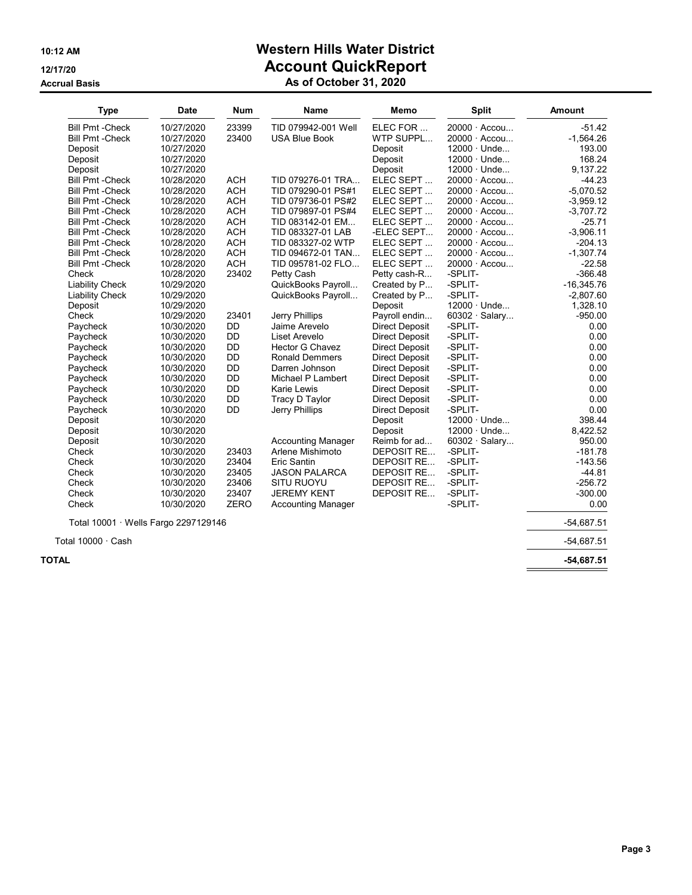## 10:12 AM Western Hills Water District 12/17/20 **Account QuickReport**

#### Accrual Basis **As of October 31, 2020**

| <b>Type</b>                          | <b>Date</b> | <b>Num</b>  | Name                      | <b>Memo</b>           | <b>Split</b>         | <b>Amount</b> |
|--------------------------------------|-------------|-------------|---------------------------|-----------------------|----------------------|---------------|
| <b>Bill Pmt - Check</b>              | 10/27/2020  | 23399       | TID 079942-001 Well       | ELEC FOR              | 20000 · Accou        | $-51.42$      |
| <b>Bill Pmt - Check</b>              | 10/27/2020  | 23400       | <b>USA Blue Book</b>      | WTP SUPPL             | $20000 \cdot$ Accou  | $-1.564.26$   |
| Deposit                              | 10/27/2020  |             |                           | Deposit               | $12000 \cdot$ Unde   | 193.00        |
| Deposit                              | 10/27/2020  |             |                           | Deposit               | $12000 \cdot$ Unde   | 168.24        |
| Deposit                              | 10/27/2020  |             |                           | Deposit               | $12000 \cdot$ Unde   | 9,137.22      |
| <b>Bill Pmt - Check</b>              | 10/28/2020  | <b>ACH</b>  | TID 079276-01 TRA         | ELEC SEPT             | $20000 \cdot$ Accou  | $-44.23$      |
| <b>Bill Pmt - Check</b>              | 10/28/2020  | <b>ACH</b>  | TID 079290-01 PS#1        | ELEC SEPT             | $20000 \cdot$ Accou  | $-5,070.52$   |
| <b>Bill Pmt - Check</b>              | 10/28/2020  | <b>ACH</b>  | TID 079736-01 PS#2        | ELEC SEPT             | 20000 · Accou        | $-3,959.12$   |
| <b>Bill Pmt - Check</b>              | 10/28/2020  | <b>ACH</b>  | TID 079897-01 PS#4        | ELEC SEPT             | $20000 \cdot$ Accou  | $-3,707.72$   |
| <b>Bill Pmt - Check</b>              | 10/28/2020  | <b>ACH</b>  | TID 083142-01 EM          | ELEC SEPT             | $20000 \cdot$ Accou  | $-25.71$      |
| <b>Bill Pmt - Check</b>              | 10/28/2020  | <b>ACH</b>  | TID 083327-01 LAB         | -ELEC SEPT            | 20000 · Accou        | $-3,906.11$   |
| <b>Bill Pmt - Check</b>              | 10/28/2020  | <b>ACH</b>  | TID 083327-02 WTP         | ELEC SEPT             | $20000 \cdot$ Accou  | $-204.13$     |
| <b>Bill Pmt - Check</b>              | 10/28/2020  | <b>ACH</b>  | TID 094672-01 TAN         | ELEC SEPT             | 20000 · Accou        | $-1,307.74$   |
| <b>Bill Pmt - Check</b>              | 10/28/2020  | <b>ACH</b>  | TID 095781-02 FLO         | ELEC SEPT             | 20000 · Accou        | $-22.58$      |
| Check                                | 10/28/2020  | 23402       | Petty Cash                | Petty cash-R          | -SPLIT-              | $-366.48$     |
| <b>Liability Check</b>               | 10/29/2020  |             | QuickBooks Payroll        | Created by P          | -SPLIT-              | $-16,345.76$  |
| <b>Liability Check</b>               | 10/29/2020  |             | QuickBooks Payroll        | Created by P          | -SPLIT-              | $-2,807.60$   |
| Deposit                              | 10/29/2020  |             |                           | Deposit               | $12000 \cdot$ Unde   | 1,328.10      |
| Check                                | 10/29/2020  | 23401       | Jerry Phillips            | Payroll endin         | 60302 · Salary       | $-950.00$     |
| Paycheck                             | 10/30/2020  | <b>DD</b>   | Jaime Arevelo             | <b>Direct Deposit</b> | -SPLIT-              | 0.00          |
| Paycheck                             | 10/30/2020  | DD          | Liset Arevelo             | <b>Direct Deposit</b> | -SPLIT-              | 0.00          |
| Paycheck                             | 10/30/2020  | <b>DD</b>   | <b>Hector G Chavez</b>    | <b>Direct Deposit</b> | -SPLIT-              | 0.00          |
| Paycheck                             | 10/30/2020  | DD          | <b>Ronald Demmers</b>     | Direct Deposit        | -SPLIT-              | 0.00          |
| Paycheck                             | 10/30/2020  | <b>DD</b>   | Darren Johnson            | Direct Deposit        | -SPLIT-              | 0.00          |
| Paycheck                             | 10/30/2020  | DD          | Michael P Lambert         | <b>Direct Deposit</b> | -SPLIT-              | 0.00          |
| Paycheck                             | 10/30/2020  | <b>DD</b>   | <b>Karie Lewis</b>        | <b>Direct Deposit</b> | -SPLIT-              | 0.00          |
| Paycheck                             | 10/30/2020  | <b>DD</b>   | Tracy D Taylor            | Direct Deposit        | -SPLIT-              | 0.00          |
| Paycheck                             | 10/30/2020  | <b>DD</b>   | Jerry Phillips            | <b>Direct Deposit</b> | -SPLIT-              | 0.00          |
| Deposit                              | 10/30/2020  |             |                           | Deposit               | $12000 \cdot$ Unde   | 398.44        |
| Deposit                              | 10/30/2020  |             |                           | Deposit               | 12000 · Unde         | 8,422.52      |
| Deposit                              | 10/30/2020  |             | <b>Accounting Manager</b> | Reimb for ad          | $60302 \cdot$ Salary | 950.00        |
| Check                                | 10/30/2020  | 23403       | Arlene Mishimoto          | <b>DEPOSIT RE</b>     | -SPLIT-              | $-181.78$     |
| Check                                | 10/30/2020  | 23404       | Eric Santin               | DEPOSIT RE            | -SPLIT-              | $-143.56$     |
| Check                                | 10/30/2020  | 23405       | <b>JASON PALARCA</b>      | DEPOSIT RE            | -SPLIT-              | $-44.81$      |
| Check                                | 10/30/2020  | 23406       | <b>SITU RUOYU</b>         | DEPOSIT RE            | -SPLIT-              | $-256.72$     |
| Check                                | 10/30/2020  | 23407       | <b>JEREMY KENT</b>        | DEPOSIT RE            | -SPLIT-              | $-300.00$     |
| Check                                | 10/30/2020  | <b>ZERO</b> | <b>Accounting Manager</b> |                       | -SPLIT-              | 0.00          |
| Total 10001 · Wells Fargo 2297129146 |             |             |                           |                       |                      | $-54,687.51$  |

Total 10000 · Cash -54,687.51

 $\blacksquare$  TOTAL  $\blacksquare$  -54,687.51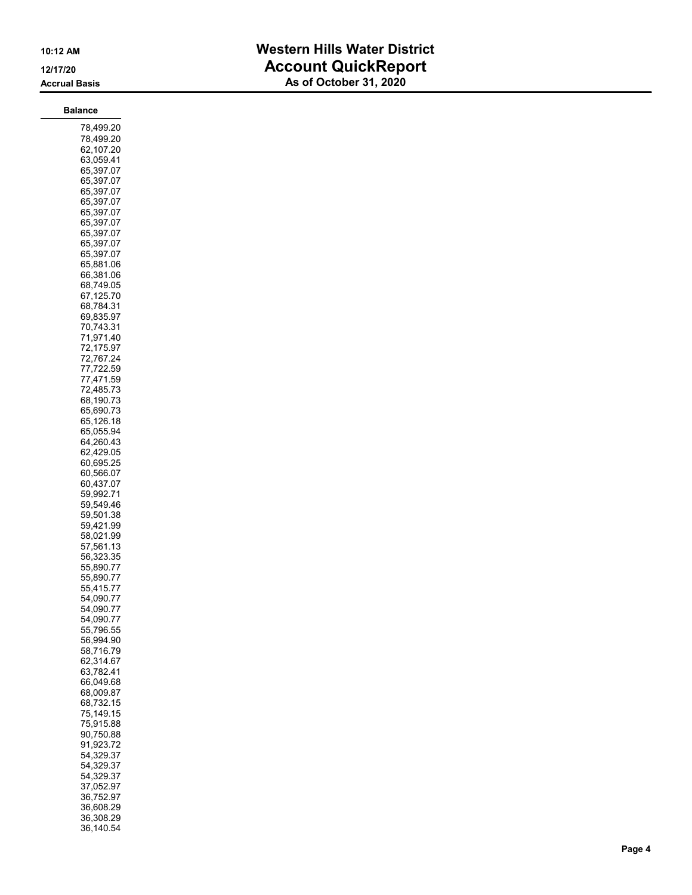## 10:12 AM Western Hills Water District 12/17/20 **Account QuickReport** Accrual Basis **As of October 31, 2020**

| 78,499.20<br>78,499.20<br>62,107.20<br>63,059.41<br>65,397.07                                                                                                                                                                                                                                                                                                                                                                                                                                                                                                                                                                                                                                                                                                                                                                             |
|-------------------------------------------------------------------------------------------------------------------------------------------------------------------------------------------------------------------------------------------------------------------------------------------------------------------------------------------------------------------------------------------------------------------------------------------------------------------------------------------------------------------------------------------------------------------------------------------------------------------------------------------------------------------------------------------------------------------------------------------------------------------------------------------------------------------------------------------|
| 65,397.07<br>65,397.07<br>65,397.07<br>65,397.07<br>65,397.07<br>65,397.07<br>65,397.07<br>65,397.07<br>65,881.06<br>66,381.06<br>68,749.05<br>67,125.70<br>68,784.31<br>69,835.97<br>70,743.31<br>71,971.40<br>72,175.97<br>72,767.24<br>77,722.59<br>,471.59<br>77<br>72,485.73<br>68,190.73<br>65,690.73<br>65.126.18<br>65,055.94<br>64.260.43<br>62,429.05<br>60.695.25<br>60,566.07<br>60,437.07<br>59,992.71<br>59,549.46<br>59,501.38<br>59,421.99<br>58,021.99<br>57,561.13<br>56,323.35<br>55,890.77<br>55,890.77<br>55,415.77<br>54,090.77<br>54,090.<br>7<br>54,090.77<br>55,796.55<br>56,994.90<br>58,716.79<br>62,314.67<br>63,782.41<br>66.049.68<br>68.009.87<br>68,732.15<br>75,149.15<br>75,915.88<br>90,750.88<br>91,923.72<br>54,329.37<br>54,329.37<br>54,329.37<br>37,052.97<br>36,752.97<br>36,608.29<br>36,308.29 |

36,140.54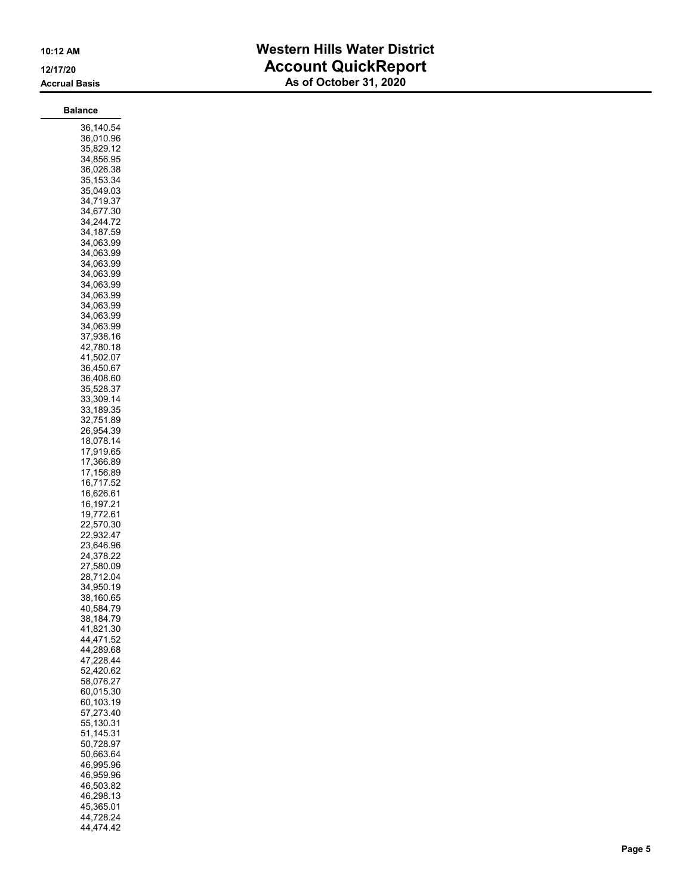| Balance                                                                                                                                                                                                                                                                                                                                                                                                                                                                                                                                                                                                                                                                                                                                                                                                                                                          |
|------------------------------------------------------------------------------------------------------------------------------------------------------------------------------------------------------------------------------------------------------------------------------------------------------------------------------------------------------------------------------------------------------------------------------------------------------------------------------------------------------------------------------------------------------------------------------------------------------------------------------------------------------------------------------------------------------------------------------------------------------------------------------------------------------------------------------------------------------------------|
| 36,140.54<br>36,010.96<br>35,829.12<br>34.856.95<br>36,026.38<br>35,153.34<br>35,049.03<br>34,719.37<br>34,677.30<br>34,244.72<br>34,187.59<br>34,063.99<br>34,063.99<br>34,063.99<br>34.063.99<br>34,063.99<br>34,063.99<br>34,063.99<br>34,063.99<br>34,063.99<br>37,938.16<br>42,780.18<br>41,502.07<br>36,450.67<br>36,408.60<br>35.528.37<br>33,309.14<br>33.189.35<br>32,751.89<br>26,954.39<br>18,078.14<br>17,919.65<br>,366.89<br>17<br>17,156.89<br>16,717.52<br>16,626.61<br>16,197.21<br>19,772.61<br>22,570.30<br>22,932.47<br>23,646.96<br>24,378.22<br>27,580.09<br>28,712.04<br>34,950.19<br>38,160.65<br>40,584.79<br>38,184.79<br>41,821.30<br>44,471.52<br>44,289.68<br>47,228.44<br>52,420.62<br>58,076.27<br>60,015.30<br>60,103.19<br>57,273.40<br>55,130.31<br>51,145.31<br>50,728.97<br>50,663.64<br>46,995.96<br>46,959.96<br>46,503.82 |
| 46,298.13<br>45,365.01                                                                                                                                                                                                                                                                                                                                                                                                                                                                                                                                                                                                                                                                                                                                                                                                                                           |
| 44,728.24                                                                                                                                                                                                                                                                                                                                                                                                                                                                                                                                                                                                                                                                                                                                                                                                                                                        |

44,474.42